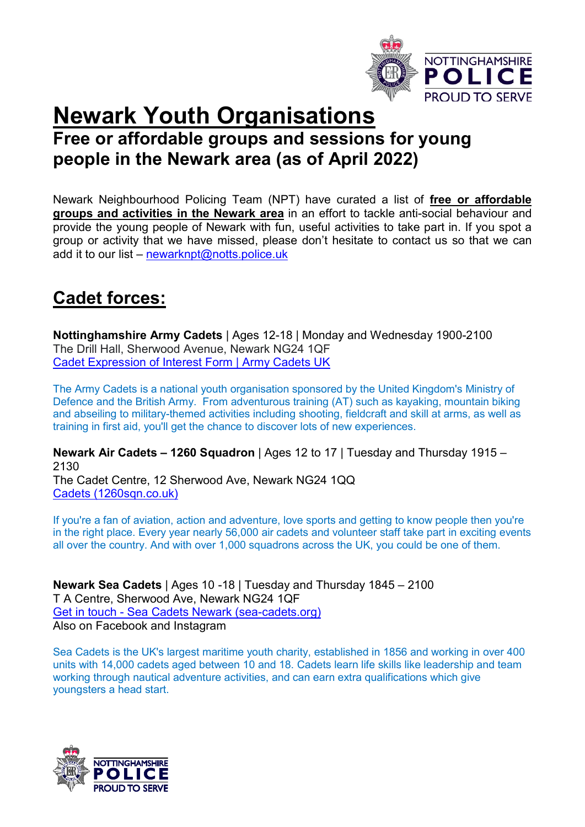

# **Newark Youth Organisations** Free or affordable groups and sessions for young people in the Newark area (as of April 2022)

Newark Neighbourhood Policing Team (NPT) have curated a list of free or affordable groups and activities in the Newark area in an effort to tackle anti-social behaviour and provide the young people of Newark with fun, useful activities to take part in. If you spot a group or activity that we have missed, please don't hesitate to contact us so that we can add it to our list – newarknpt@notts.police.uk

## Cadet forces:

Nottinghamshire Army Cadets | Ages 12-18 | Monday and Wednesday 1900-2100 The Drill Hall, Sherwood Avenue, Newark NG24 1QF Cadet Expression of Interest Form | Army Cadets UK

The Army Cadets is a national youth organisation sponsored by the United Kingdom's Ministry of Defence and the British Army. From adventurous training (AT) such as kayaking, mountain biking and abseiling to military-themed activities including shooting, fieldcraft and skill at arms, as well as training in first aid, you'll get the chance to discover lots of new experiences.

Newark Air Cadets – 1260 Squadron | Ages 12 to 17 | Tuesday and Thursday 1915 – 2130 The Cadet Centre, 12 Sherwood Ave, Newark NG24 1QQ Cadets (1260sqn.co.uk)

If you're a fan of aviation, action and adventure, love sports and getting to know people then you're in the right place. Every year nearly 56,000 air cadets and volunteer staff take part in exciting events all over the country. And with over 1,000 squadrons across the UK, you could be one of them.

Newark Sea Cadets | Ages 10 -18 | Tuesday and Thursday 1845 – 2100 T A Centre, Sherwood Ave, Newark NG24 1QF Get in touch - Sea Cadets Newark (sea-cadets.org) Also on Facebook and Instagram

Sea Cadets is the UK's largest maritime youth charity, established in 1856 and working in over 400 units with 14,000 cadets aged between 10 and 18. Cadets learn life skills like leadership and team working through nautical adventure activities, and can earn extra qualifications which give youngsters a head start.

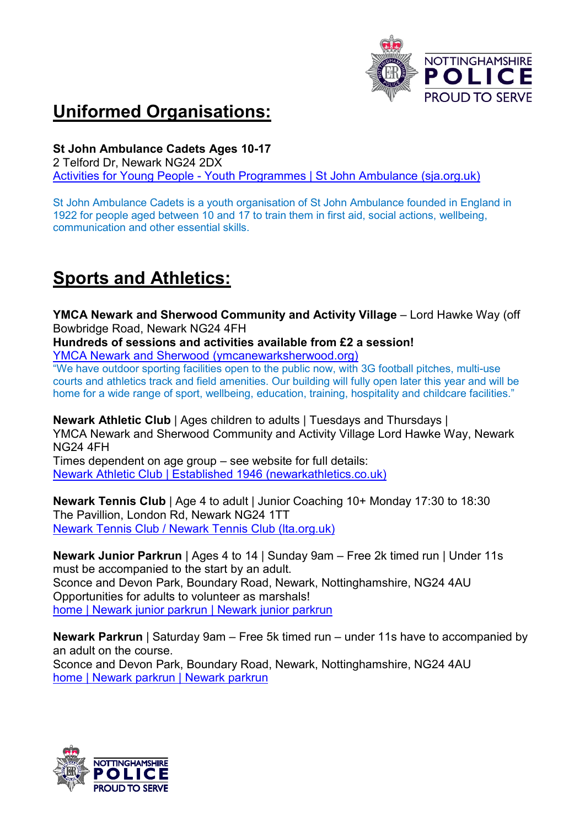

# Uniformed Organisations:

St John Ambulance Cadets Ages 10-17

2 Telford Dr, Newark NG24 2DX Activities for Young People - Youth Programmes | St John Ambulance (sja.org.uk)

St John Ambulance Cadets is a youth organisation of St John Ambulance founded in England in 1922 for people aged between 10 and 17 to train them in first aid, social actions, wellbeing, communication and other essential skills.

# Sports and Athletics:

YMCA Newark and Sherwood Community and Activity Village – Lord Hawke Way (off Bowbridge Road, Newark NG24 4FH

Hundreds of sessions and activities available from £2 a session!

YMCA Newark and Sherwood (ymcanewarksherwood.org)

"We have outdoor sporting facilities open to the public now, with 3G football pitches, multi-use courts and athletics track and field amenities. Our building will fully open later this year and will be home for a wide range of sport, wellbeing, education, training, hospitality and childcare facilities."

Newark Athletic Club | Ages children to adults | Tuesdays and Thursdays | YMCA Newark and Sherwood Community and Activity Village Lord Hawke Way, Newark NG24 4FH

Times dependent on age group – see website for full details: Newark Athletic Club | Established 1946 (newarkathletics.co.uk)

Newark Tennis Club | Age 4 to adult | Junior Coaching 10+ Monday 17:30 to 18:30 The Pavillion, London Rd, Newark NG24 1TT Newark Tennis Club / Newark Tennis Club (lta.org.uk)

Newark Junior Parkrun | Ages 4 to 14 | Sunday 9am – Free 2k timed run | Under 11s must be accompanied to the start by an adult. Sconce and Devon Park, Boundary Road, Newark, Nottinghamshire, NG24 4AU Opportunities for adults to volunteer as marshals! home | Newark junior parkrun | Newark junior parkrun

Newark Parkrun | Saturday 9am – Free 5k timed run – under 11s have to accompanied by an adult on the course. Sconce and Devon Park, Boundary Road, Newark, Nottinghamshire, NG24 4AU home | Newark parkrun | Newark parkrun

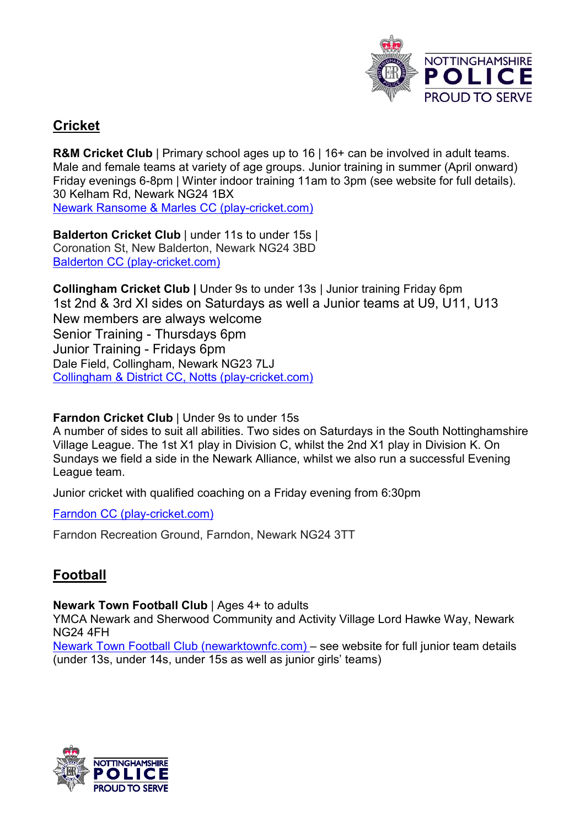

### **Cricket**

R&M Cricket Club | Primary school ages up to 16 | 16+ can be involved in adult teams. Male and female teams at variety of age groups. Junior training in summer (April onward) Friday evenings 6-8pm | Winter indoor training 11am to 3pm (see website for full details). 30 Kelham Rd, Newark NG24 1BX Newark Ransome & Marles CC (play-cricket.com)

Balderton Cricket Club | under 11s to under 15s | Coronation St, New Balderton, Newark NG24 3BD Balderton CC (play-cricket.com)

Collingham Cricket Club | Under 9s to under 13s | Junior training Friday 6pm 1st 2nd & 3rd XI sides on Saturdays as well a Junior teams at U9, U11, U13 New members are always welcome Senior Training - Thursdays 6pm Junior Training - Fridays 6pm Dale Field, Collingham, Newark NG23 7LJ Collingham & District CC, Notts (play-cricket.com)

Farndon Cricket Club | Under 9s to under 15s

A number of sides to suit all abilities. Two sides on Saturdays in the South Nottinghamshire Village League. The 1st X1 play in Division C, whilst the 2nd X1 play in Division K. On Sundays we field a side in the Newark Alliance, whilst we also run a successful Evening League team.

Junior cricket with qualified coaching on a Friday evening from 6:30pm

Farndon CC (play-cricket.com)

Farndon Recreation Ground, Farndon, Newark NG24 3TT

### Football

Newark Town Football Club | Ages 4+ to adults

YMCA Newark and Sherwood Community and Activity Village Lord Hawke Way, Newark NG24 4FH

Newark Town Football Club (newarktownfc.com) – see website for full junior team details (under 13s, under 14s, under 15s as well as junior girls' teams)

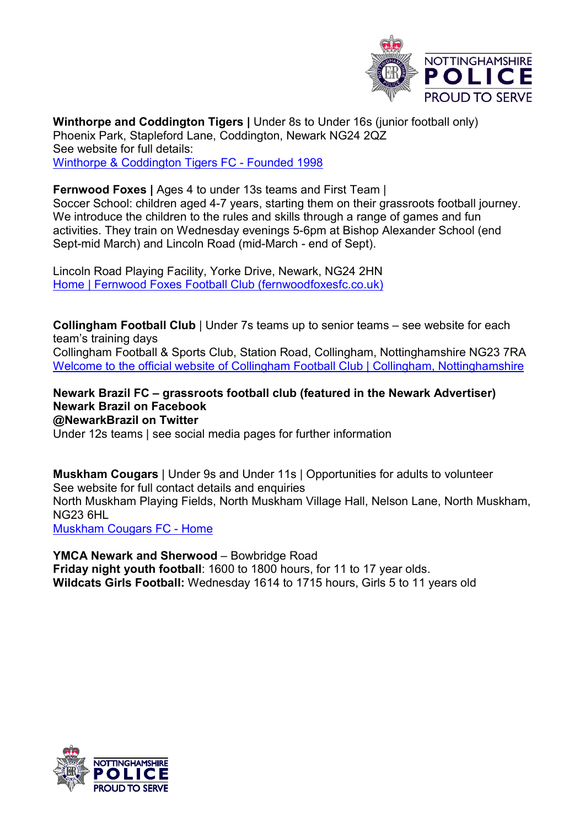

Winthorpe and Coddington Tigers | Under 8s to Under 16s (junior football only) Phoenix Park, Stapleford Lane, Coddington, Newark NG24 2QZ See website for full details: Winthorpe & Coddington Tigers FC - Founded 1998

Fernwood Foxes | Ages 4 to under 13s teams and First Team | Soccer School: children aged 4-7 years, starting them on their grassroots football journey. We introduce the children to the rules and skills through a range of games and fun activities. They train on Wednesday evenings 5-6pm at Bishop Alexander School (end Sept-mid March) and Lincoln Road (mid-March - end of Sept).

Lincoln Road Playing Facility, Yorke Drive, Newark, NG24 2HN Home | Fernwood Foxes Football Club (fernwoodfoxesfc.co.uk)

Collingham Football Club | Under 7s teams up to senior teams – see website for each team's training days

Collingham Football & Sports Club, Station Road, Collingham, Nottinghamshire NG23 7RA Welcome to the official website of Collingham Football Club | Collingham, Nottinghamshire

Newark Brazil FC – grassroots football club (featured in the Newark Advertiser) Newark Brazil on Facebook @NewarkBrazil on Twitter

Under 12s teams | see social media pages for further information

Muskham Cougars | Under 9s and Under 11s | Opportunities for adults to volunteer See website for full contact details and enquiries

North Muskham Playing Fields, North Muskham Village Hall, Nelson Lane, North Muskham, NG23 6HL

Muskham Cougars FC - Home

YMCA Newark and Sherwood – Bowbridge Road Friday night youth football: 1600 to 1800 hours, for 11 to 17 year olds. Wildcats Girls Football: Wednesday 1614 to 1715 hours, Girls 5 to 11 years old

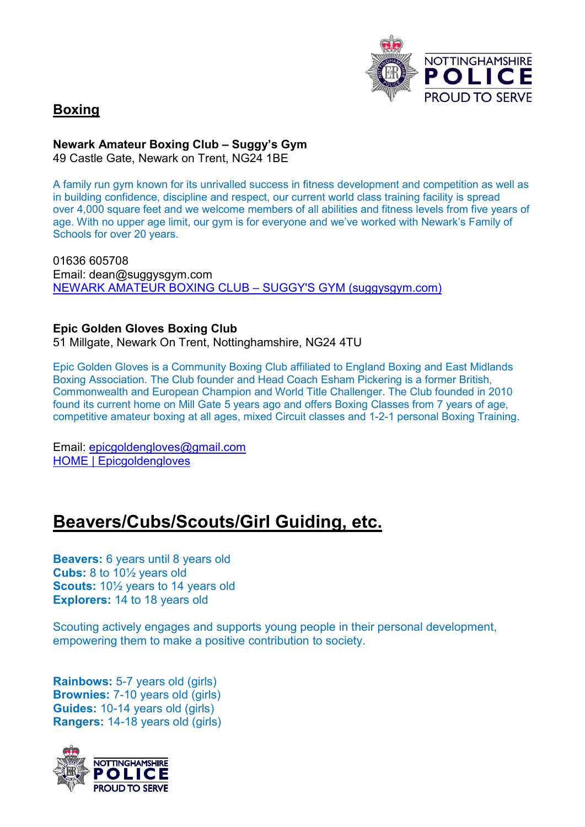

### Boxing

Newark Amateur Boxing Club – Suggy's Gym

49 Castle Gate, Newark on Trent, NG24 1BE

A family run gym known for its unrivalled success in fitness development and competition as well as in building confidence, discipline and respect, our current world class training facility is spread over 4,000 square feet and we welcome members of all abilities and fitness levels from five years of age. With no upper age limit, our gym is for everyone and we've worked with Newark's Family of Schools for over 20 years.

01636 605708 Email: dean@suggysgym.com NEWARK AMATEUR BOXING CLUB – SUGGY'S GYM (suggysgym.com)

#### Epic Golden Gloves Boxing Club

51 Millgate, Newark On Trent, Nottinghamshire, NG24 4TU

Epic Golden Gloves is a Community Boxing Club affiliated to England Boxing and East Midlands Boxing Association. The Club founder and Head Coach Esham Pickering is a former British, Commonwealth and European Champion and World Title Challenger. The Club founded in 2010 found its current home on Mill Gate 5 years ago and offers Boxing Classes from 7 years of age, competitive amateur boxing at all ages, mixed Circuit classes and 1-2-1 personal Boxing Training.

Email: epicgoldengloves@gmail.com HOME | Epicgoldengloves

### Beavers/Cubs/Scouts/Girl Guiding, etc.

Beavers: 6 years until 8 years old Cubs: 8 to 10½ years old Scouts:  $10\frac{1}{2}$  years to 14 years old Explorers: 14 to 18 years old

Scouting actively engages and supports young people in their personal development, empowering them to make a positive contribution to society.

Rainbows: 5-7 years old (girls) Brownies: 7-10 years old (girls) Guides: 10-14 years old (girls) Rangers: 14-18 years old (girls)

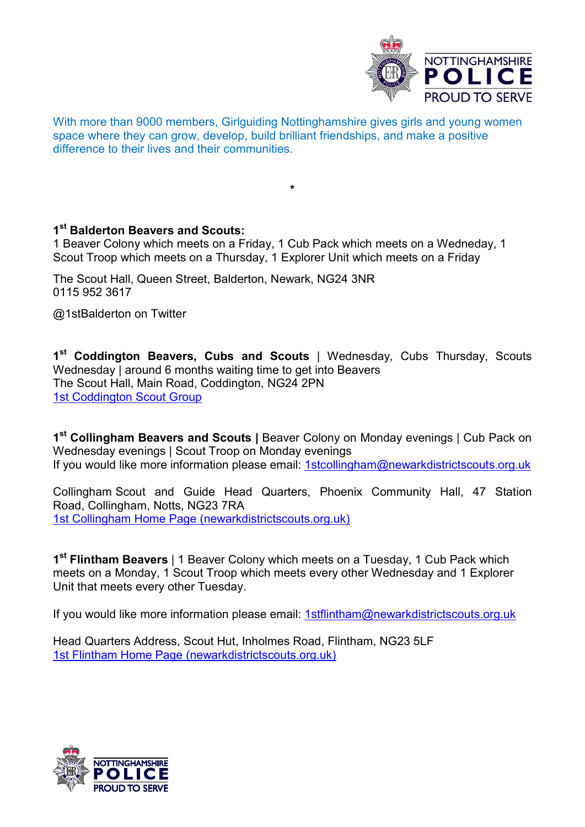

With more than 9000 members, Girlguiding Nottinghamshire gives girls and young women space where they can grow, develop, build brilliant friendships, and make a positive difference to their lives and their communities.

\*

1<sup>st</sup> Balderton Beavers and Scouts:

1 Beaver Colony which meets on a Friday, 1 Cub Pack which meets on a Wedneday, 1 Scout Troop which meets on a Thursday, 1 Explorer Unit which meets on a Friday

The Scout Hall, Queen Street, Balderton, Newark, NG24 3NR 0115 952 3617

@1stBalderton on Twitter

1<sup>st</sup> Coddington Beavers, Cubs and Scouts | Wednesday, Cubs Thursday, Scouts Wednesday | around 6 months waiting time to get into Beavers The Scout Hall, Main Road, Coddington, NG24 2PN 1st Coddington Scout Group

1<sup>st</sup> Collingham Beavers and Scouts | Beaver Colony on Monday evenings | Cub Pack on Wednesday evenings | Scout Troop on Monday evenings If you would like more information please email: 1stcollingham@newarkdistrictscouts.org.uk

Collingham Scout and Guide Head Quarters, Phoenix Community Hall, 47 Station Road, Collingham, Notts, NG23 7RA 1st Collingham Home Page (newarkdistrictscouts.org.uk)

1<sup>st</sup> Flintham Beavers | 1 Beaver Colony which meets on a Tuesday, 1 Cub Pack which meets on a Monday, 1 Scout Troop which meets every other Wednesday and 1 Explorer Unit that meets every other Tuesday.

If you would like more information please email: 1stflintham@newarkdistrictscouts.org.uk

Head Quarters Address, Scout Hut, Inholmes Road, Flintham, NG23 5LF 1st Flintham Home Page (newarkdistrictscouts.org.uk)

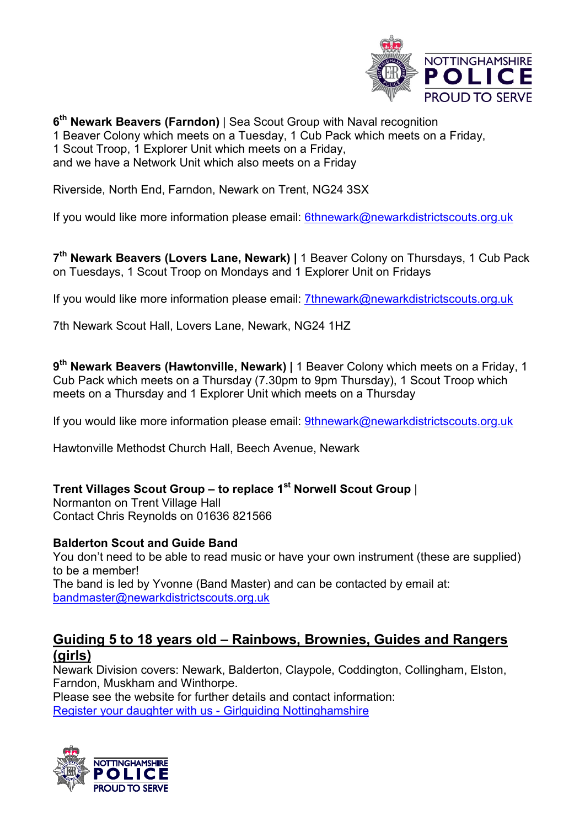

6<sup>th</sup> Newark Beavers (Farndon) | Sea Scout Group with Naval recognition 1 Beaver Colony which meets on a Tuesday, 1 Cub Pack which meets on a Friday, 1 Scout Troop, 1 Explorer Unit which meets on a Friday, and we have a Network Unit which also meets on a Friday

Riverside, North End, Farndon, Newark on Trent, NG24 3SX

If you would like more information please email: 6thnewark@newarkdistrictscouts.org.uk

7<sup>th</sup> Newark Beavers (Lovers Lane, Newark) | 1 Beaver Colony on Thursdays, 1 Cub Pack on Tuesdays, 1 Scout Troop on Mondays and 1 Explorer Unit on Fridays

If you would like more information please email: 7thnewark@newarkdistrictscouts.org.uk

7th Newark Scout Hall, Lovers Lane, Newark, NG24 1HZ

9<sup>th</sup> Newark Beavers (Hawtonville, Newark) | 1 Beaver Colony which meets on a Friday, 1 Cub Pack which meets on a Thursday (7.30pm to 9pm Thursday), 1 Scout Troop which meets on a Thursday and 1 Explorer Unit which meets on a Thursday

If you would like more information please email: 9thnewark@newarkdistrictscouts.org.uk

Hawtonville Methodst Church Hall, Beech Avenue, Newark

#### Trent Villages Scout Group – to replace  $1<sup>st</sup>$  Norwell Scout Group |

Normanton on Trent Village Hall Contact Chris Reynolds on 01636 821566

#### Balderton Scout and Guide Band

You don't need to be able to read music or have your own instrument (these are supplied) to be a member! The band is led by Yvonne (Band Master) and can be contacted by email at: bandmaster@newarkdistrictscouts.org.uk

### Guiding 5 to 18 years old – Rainbows, Brownies, Guides and Rangers (girls)

Newark Division covers: Newark, Balderton, Claypole, Coddington, Collingham, Elston, Farndon, Muskham and Winthorpe.

Please see the website for further details and contact information: Register your daughter with us - Girlguiding Nottinghamshire

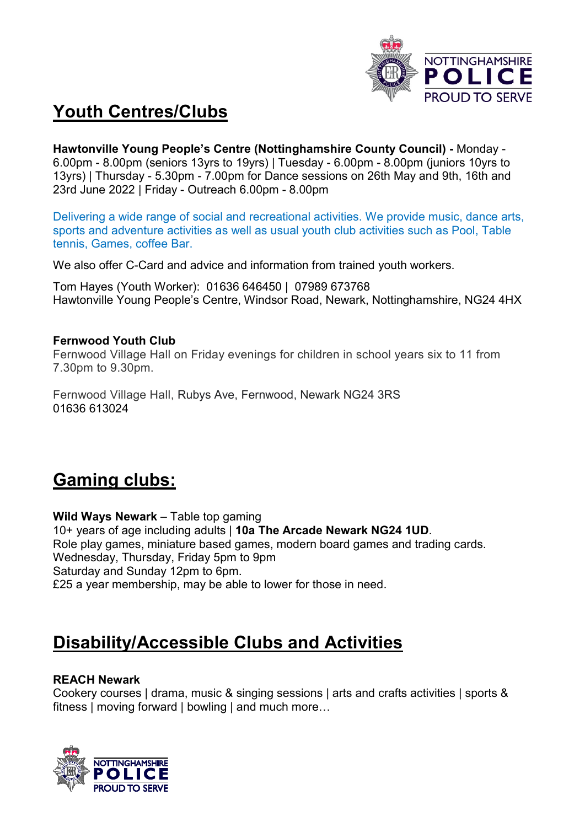

# Youth Centres/Clubs

Hawtonville Young People's Centre (Nottinghamshire County Council) - Monday - 6.00pm - 8.00pm (seniors 13yrs to 19yrs) | Tuesday - 6.00pm - 8.00pm (juniors 10yrs to 13yrs) | Thursday - 5.30pm - 7.00pm for Dance sessions on 26th May and 9th, 16th and 23rd June 2022 | Friday - Outreach 6.00pm - 8.00pm

Delivering a wide range of social and recreational activities. We provide music, dance arts, sports and adventure activities as well as usual youth club activities such as Pool, Table tennis, Games, coffee Bar.

We also offer C-Card and advice and information from trained youth workers.

Tom Hayes (Youth Worker): 01636 646450 | 07989 673768 Hawtonville Young People's Centre, Windsor Road, Newark, Nottinghamshire, NG24 4HX

#### Fernwood Youth Club

Fernwood Village Hall on Friday evenings for children in school years six to 11 from 7.30pm to 9.30pm.

Fernwood Village Hall, Rubys Ave, Fernwood, Newark NG24 3RS 01636 613024

## Gaming clubs:

Wild Ways Newark – Table top gaming 10+ years of age including adults | 10a The Arcade Newark NG24 1UD. Role play games, miniature based games, modern board games and trading cards. Wednesday, Thursday, Friday 5pm to 9pm Saturday and Sunday 12pm to 6pm. £25 a year membership, may be able to lower for those in need.

## Disability/Accessible Clubs and Activities

#### REACH Newark

Cookery courses | drama, music & singing sessions | arts and crafts activities | sports & fitness | moving forward | bowling | and much more…